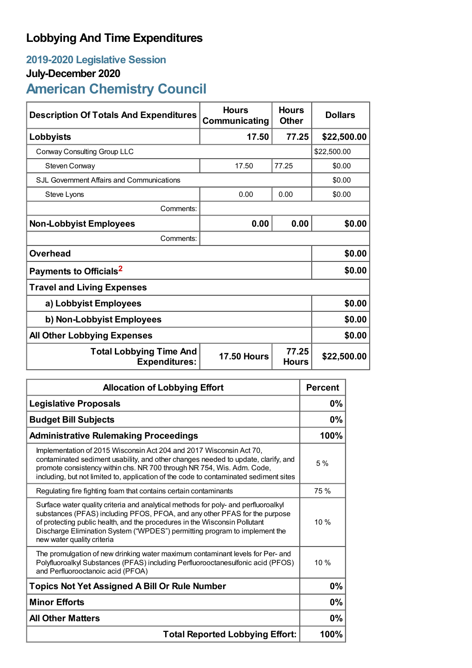## **Lobbying And Time Expenditures**

## **2019-2020 Legislative Session**

## **July-December 2020**

# **American Chemistry Council**

| <b>Description Of Totals And Expenditures</b>          | <b>Hours</b><br>Communicating | <b>Hours</b><br><b>Other</b> | <b>Dollars</b> |  |
|--------------------------------------------------------|-------------------------------|------------------------------|----------------|--|
| Lobbyists                                              | 17.50                         | 77.25                        | \$22,500.00    |  |
| Conway Consulting Group LLC                            |                               |                              | \$22,500.00    |  |
| Steven Conway                                          | 17.50                         | 77.25                        | \$0.00         |  |
| SJL Government Affairs and Communications              |                               |                              | \$0.00         |  |
| Steve Lyons                                            | 0.00                          | 0.00                         | \$0.00         |  |
| Comments:                                              |                               |                              |                |  |
| <b>Non-Lobbyist Employees</b>                          | 0.00                          | 0.00                         | \$0.00         |  |
| Comments:                                              |                               |                              |                |  |
| <b>Overhead</b>                                        |                               |                              | \$0.00         |  |
| Payments to Officials <sup>2</sup>                     |                               |                              | \$0.00         |  |
| <b>Travel and Living Expenses</b>                      |                               |                              |                |  |
| a) Lobbyist Employees                                  |                               |                              | \$0.00         |  |
| b) Non-Lobbyist Employees                              |                               |                              | \$0.00         |  |
| <b>All Other Lobbying Expenses</b>                     |                               |                              | \$0.00         |  |
| <b>Total Lobbying Time And</b><br><b>Expenditures:</b> | <b>17.50 Hours</b>            | 77.25<br><b>Hours</b>        | \$22,500.00    |  |

| <b>Allocation of Lobbying Effort</b>                                                                                                                                                                                                                                                                                                                       |      |
|------------------------------------------------------------------------------------------------------------------------------------------------------------------------------------------------------------------------------------------------------------------------------------------------------------------------------------------------------------|------|
| <b>Legislative Proposals</b>                                                                                                                                                                                                                                                                                                                               |      |
| <b>Budget Bill Subjects</b>                                                                                                                                                                                                                                                                                                                                |      |
| <b>Administrative Rulemaking Proceedings</b>                                                                                                                                                                                                                                                                                                               |      |
| Implementation of 2015 Wisconsin Act 204 and 2017 Wisconsin Act 70,<br>contaminated sediment usability, and other changes needed to update, clarify, and<br>promote consistency within chs. NR 700 through NR 754, Wis. Adm. Code,<br>including, but not limited to, application of the code to contaminated sediment sites                                | 5%   |
| Regulating fire fighting foam that contains certain contaminants                                                                                                                                                                                                                                                                                           | 75 % |
| Surface water quality criteria and analytical methods for poly- and perfluoroalkyl<br>substances (PFAS) including PFOS, PFOA, and any other PFAS for the purpose<br>of protecting public health, and the procedures in the Wisconsin Pollutant<br>Discharge Elimination System ("WPDES") permitting program to implement the<br>new water quality criteria | 10%  |
| The promulgation of new drinking water maximum contaminant levels for Per- and<br>Polyfluoroalkyl Substances (PFAS) including Perfluorooctanesulfonic acid (PFOS)<br>and Perfluorooctanoic acid (PFOA)                                                                                                                                                     | 10%  |
| <b>Topics Not Yet Assigned A Bill Or Rule Number</b>                                                                                                                                                                                                                                                                                                       |      |
| <b>Minor Efforts</b>                                                                                                                                                                                                                                                                                                                                       |      |
| <b>All Other Matters</b>                                                                                                                                                                                                                                                                                                                                   |      |
| <b>Total Reported Lobbying Effort:</b>                                                                                                                                                                                                                                                                                                                     |      |